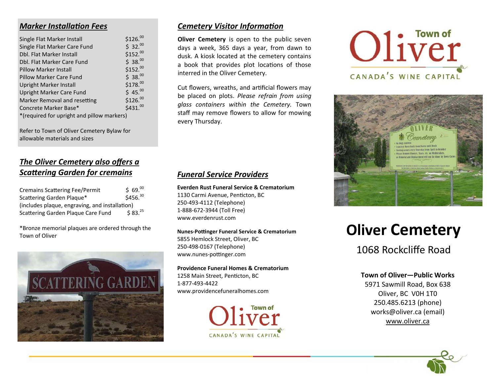## *Marker InstallaƟon Fees*

| Single Flat Marker Install                 | \$126. <sup>00</sup> |
|--------------------------------------------|----------------------|
| Single Flat Marker Care Fund               | \$32.00              |
| Dbl. Flat Marker Install                   | \$152.00             |
| Dbl. Flat Marker Care Fund                 | \$38.00              |
| <b>Pillow Marker Install</b>               | \$152. <sup>00</sup> |
| Pillow Marker Care Fund                    | \$38.00              |
| Upright Marker Install                     | \$178.00             |
| Upright Marker Care Fund                   | \$45.00              |
| Marker Removal and resetting               | \$126. <sup>00</sup> |
| Concrete Marker Base*                      | \$431. <sup>00</sup> |
| *(required for upright and pillow markers) |                      |
|                                            |                      |

Refer to Town of Oliver Cemetery Bylaw for allowable materials and sizes

# *The Oliver Cemetery also offers a*  **Scattering Garden for cremains**

| <b>Cremains Scattering Fee/Permit</b>          | \$69.00             |  |  |
|------------------------------------------------|---------------------|--|--|
| Scattering Garden Plaque*                      | \$456.30            |  |  |
| (includes plaque, engraving, and installation) |                     |  |  |
| Scattering Garden Plaque Care Fund             | \$83. <sup>25</sup> |  |  |

\*Bronze memorial plaques are ordered through the Town of Oliver



## *Cemetery Visitor Information*

**Oliver Cemetery** is open to the public seven days <sup>a</sup> week, 365 days <sup>a</sup> year, from dawn to dusk. A kiosk located at the cemetery contains a book that provides plot locations of those interred in the Oliver Cemetery.

Cut flowers, wreaths, and artificial flowers may be placed on plots. *Please refrain from using glass containers within the Cemetery.* Town staff may remove flowers to allow for mowing every Thursday.

# *Funeral Service Providers*

**Everden Rust Funeral Service & Crematorium** 1130 Carmi Avenue, Penticton, BC 250‐493‐4112 (Telephone) 1‐888‐672‐3944 (Toll Free) www.everdenrust.com

**Nunes-Pottinger Funeral Service & Crematorium** 5855 Hemlock Street, Oliver, BC 250‐498‐0167 (Telephone) www.nunes-pottinger.com

**Providence Funeral Homes & Crematorium** 1258 Main Street, Penticton, BC 1‐877‐493‐4422 www.providencefuneralhomes.com







# **Oliver Cemetery**

1068 Rockcliffe Road

### **Town of Oliver—Public Works**

5971 Sawmill Road, Box 638 Oliver, BC V0H 1T0 250.485.6213 (phone) works@oliver.ca (email) www.oliver.ca